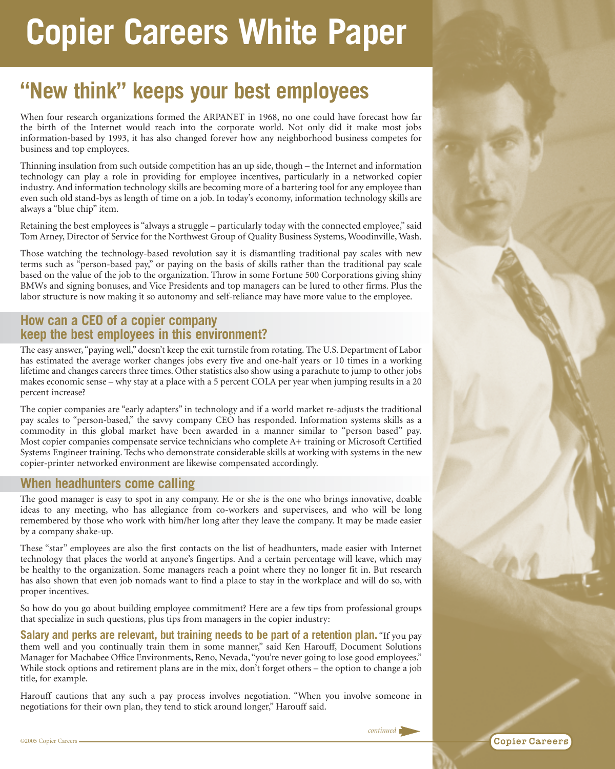# **Copier Careers White Paper**

## **"New think" keeps your best employees**

When four research organizations formed the ARPANET in 1968, no one could have forecast how far the birth of the Internet would reach into the corporate world. Not only did it make most jobs information-based by 1993, it has also changed forever how any neighborhood business competes for business and top employees.

Thinning insulation from such outside competition has an up side, though – the Internet and information technology can play a role in providing for employee incentives, particularly in a networked copier industry. And information technology skills are becoming more of a bartering tool for any employee than even such old stand-bys as length of time on a job. In today's economy, information technology skills are always a "blue chip" item.

Retaining the best employees is "always a struggle – particularly today with the connected employee," said Tom Arney, Director of Service for the Northwest Group of Quality Business Systems, Woodinville, Wash.

Those watching the technology-based revolution say it is dismantling traditional pay scales with new terms such as "person-based pay," or paying on the basis of skills rather than the traditional pay scale based on the value of the job to the organization. Throw in some Fortune 500 Corporations giving shiny BMWs and signing bonuses, and Vice Presidents and top managers can be lured to other firms. Plus the labor structure is now making it so autonomy and self-reliance may have more value to the employee.

### **How can a CEO of a copier company keep the best employees in this environment?**

The easy answer, "paying well," doesn't keep the exit turnstile from rotating. The U.S. Department of Labor has estimated the average worker changes jobs every five and one-half years or 10 times in a working lifetime and changes careers three times. Other statistics also show using a parachute to jump to other jobs makes economic sense – why stay at a place with a 5 percent COLA per year when jumping results in a 20 percent increase?

The copier companies are "early adapters" in technology and if a world market re-adjusts the traditional pay scales to "person-based," the savvy company CEO has responded. Information systems skills as a commodity in this global market have been awarded in a manner similar to "person based" pay. Most copier companies compensate service technicians who complete A+ training or Microsoft Certified Systems Engineer training. Techs who demonstrate considerable skills at working with systems in the new copier-printer networked environment are likewise compensated accordingly.

#### **When headhunters come calling**

The good manager is easy to spot in any company. He or she is the one who brings innovative, doable ideas to any meeting, who has allegiance from co-workers and supervisees, and who will be long remembered by those who work with him/her long after they leave the company. It may be made easier by a company shake-up.

These "star" employees are also the first contacts on the list of headhunters, made easier with Internet technology that places the world at anyone's fingertips. And a certain percentage will leave, which may be healthy to the organization. Some managers reach a point where they no longer fit in. But research has also shown that even job nomads want to find a place to stay in the workplace and will do so, with proper incentives.

So how do you go about building employee commitment? Here are a few tips from professional groups that specialize in such questions, plus tips from managers in the copier industry:

**Salary and perks are relevant, but training needs to be part of a retention plan.** "If you pay them well and you continually train them in some manner," said Ken Harouff, Document Solutions Manager for Machabee Office Environments, Reno, Nevada, "you're never going to lose good employees." While stock options and retirement plans are in the mix, don't forget others – the option to change a job title, for example.

Harouff cautions that any such a pay process involves negotiation. "When you involve someone in negotiations for their own plan, they tend to stick around longer," Harouff said.